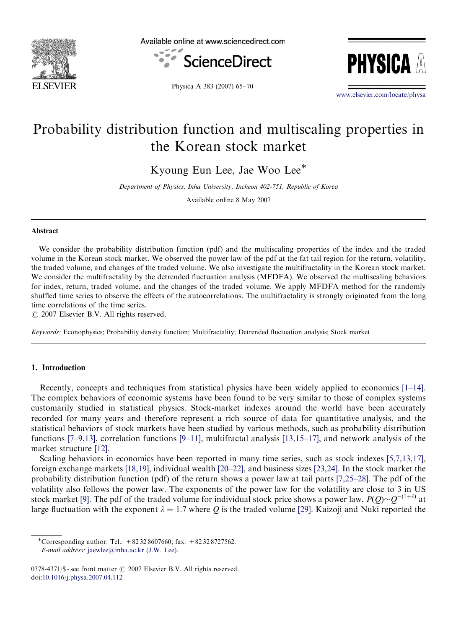

Available online at www.sciencedirect.com





Physica A 383 (2007) 65–70

<www.elsevier.com/locate/physa>

## Probability distribution function and multiscaling properties in the Korean stock market

Kyoung Eun Lee, Jae Woo Lee<sup>\*</sup>

Department of Physics, Inha University, Incheon 402-751, Republic of Korea

Available online 8 May 2007

#### Abstract

We consider the probability distribution function (pdf) and the multiscaling properties of the index and the traded volume in the Korean stock market. We observed the power law of the pdf at the fat tail region for the return, volatility, the traded volume, and changes of the traded volume. We also investigate the multifractality in the Korean stock market. We consider the multifractality by the detrended fluctuation analysis (MFDFA). We observed the multiscaling behaviors for index, return, traded volume, and the changes of the traded volume. We apply MFDFA method for the randomly shuffled time series to observe the effects of the autocorrelations. The multifractality is strongly originated from the long time correlations of the time series.

 $\odot$  2007 Elsevier B.V. All rights reserved.

Keywords: Econophysics; Probability density function; Multifractality; Detrended fluctuation analysis; Stock market

### 1. Introduction

Recently, concepts and techniques from statistical physics have been widely applied to economics [\[1–14\]](#page--1-0). The complex behaviors of economic systems have been found to be very similar to those of complex systems customarily studied in statistical physics. Stock-market indexes around the world have been accurately recorded for many years and therefore represent a rich source of data for quantitative analysis, and the statistical behaviors of stock markets have been studied by various methods, such as probability distribution functions [\[7–9,13\],](#page--1-0) correlation functions [\[9–11\]](#page--1-0), multifractal analysis [\[13,15–17\],](#page--1-0) and network analysis of the market structure [\[12\]](#page--1-0).

Scaling behaviors in economics have been reported in many time series, such as stock indexes [\[5,7,13,17\]](#page--1-0), foreign exchange markets [\[18,19\]](#page--1-0), individual wealth [\[20–22\],](#page--1-0) and business sizes [\[23,24\]](#page--1-0). In the stock market the probability distribution function (pdf) of the return shows a power law at tail parts [\[7,25–28\]](#page--1-0). The pdf of the volatility also follows the power law. The exponents of the power law for the volatility are close to 3 in US stock market [\[9\]](#page--1-0). The pdf of the traded volume for individual stock price shows a power law,  $P(Q) {\sim} Q^{-(1+\lambda)}$  at large fluctuation with the exponent  $\lambda = 1.7$  where Q is the traded volume [\[29\]](#page--1-0). Kaizoji and Nuki reported the

<sup>-</sup>Corresponding author. Tel.: +82 32 8607660; fax: +82 32 8727562.

E-mail address: [jaewlee@inha.ac.kr \(J.W. Lee\).](mailto:jaewlee@inha.ac.kr)

 $0378-4371/\$ S - see front matter  $\odot$  2007 Elsevier B.V. All rights reserved. doi:[10.1016/j.physa.2007.04.112](dx.doi.org/10.1016/j.physa.2007.04.112)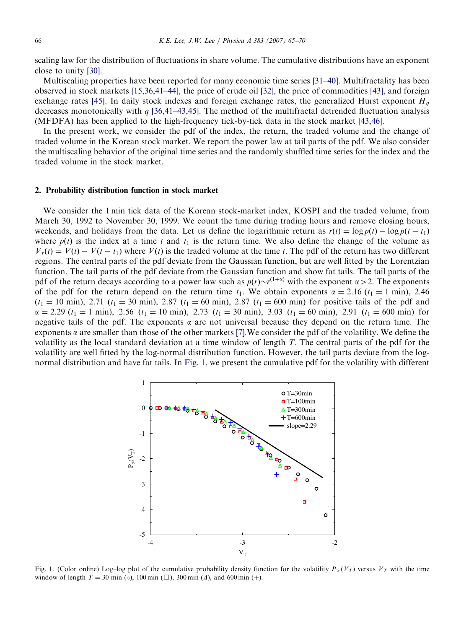scaling law for the distribution of fluctuations in share volume. The cumulative distributions have an exponent close to unity [\[30\]](#page--1-0).

Multiscaling properties have been reported for many economic time series [\[31–40\].](#page--1-0) Multifractality has been observed in stock markets [\[15,36,41–44\]](#page--1-0), the price of crude oil [\[32\]](#page--1-0), the price of commodities [\[43\],](#page--1-0) and foreign exchange rates [\[45\].](#page--1-0) In daily stock indexes and foreign exchange rates, the generalized Hurst exponent  $H<sub>a</sub>$ decreases monotonically with  $q$  [\[36,41–43,45\].](#page--1-0) The method of the multifractal detrended fluctuation analysis (MFDFA) has been applied to the high-frequency tick-by-tick data in the stock market [\[43,46\]](#page--1-0).

In the present work, we consider the pdf of the index, the return, the traded volume and the change of traded volume in the Korean stock market. We report the power law at tail parts of the pdf. We also consider the multiscaling behavior of the original time series and the randomly shuffled time series for the index and the traded volume in the stock market.

### 2. Probability distribution function in stock market

We consider the 1 min tick data of the Korean stock-market index, KOSPI and the traded volume, from March 30, 1992 to November 30, 1999. We count the time during trading hours and remove closing hours, weekends, and holidays from the data. Let us define the logarithmic return as  $r(t) = \log p(t) - \log p(t - t_1)$ where  $p(t)$  is the index at a time t and  $t_1$  is the return time. We also define the change of the volume as  $V_r(t) = V(t) - V(t - t_1)$  where  $V(t)$  is the traded volume at the time t. The pdf of the return has two different regions. The central parts of the pdf deviate from the Gaussian function, but are well fitted by the Lorentzian function. The tail parts of the pdf deviate from the Gaussian function and show fat tails. The tail parts of the pdf of the return decays according to a power law such as  $p(r) \sim r^{(1+\alpha)}$  with the exponent  $\alpha > 2$ . The exponents of the pdf for the return depend on the return time  $t_1$ . We obtain exponents  $\alpha = 2.16$  ( $t_1 = 1$  min), 2.46  $(t_1 = 10 \text{ min})$ , 2.71  $(t_1 = 30 \text{ min})$ , 2.87  $(t_1 = 60 \text{ min})$ , 2.87  $(t_1 = 600 \text{ min})$  for positive tails of the pdf and  $\alpha = 2.29$   $(t_1 = 1 \text{ min})$ , 2.56  $(t_1 = 10 \text{ min})$ , 2.73  $(t_1 = 30 \text{ min})$ , 3.03  $(t_1 = 60 \text{ min})$ , 2.91  $(t_1 = 600 \text{ min})$  for negative tails of the pdf. The exponents  $\alpha$  are not universal because they depend on the return time. The exponents  $\alpha$  are smaller than those of the other markets [\[7\]](#page--1-0). We consider the pdf of the volatility. We define the volatility as the local standard deviation at a time window of length T. The central parts of the pdf for the volatility are well fitted by the log-normal distribution function. However, the tail parts deviate from the lognormal distribution and have fat tails. In Fig. 1, we present the cumulative pdf for the volatility with different



Fig. 1. (Color online) Log–log plot of the cumulative probability density function for the volatility  $P_>(V_T)$  versus  $V_T$  with the time window of length  $T = 30$  min ( $\circ$ ), 100 min ( $\Box$ ), 300 min ( $\Diamond$ ), and 600 min (+).